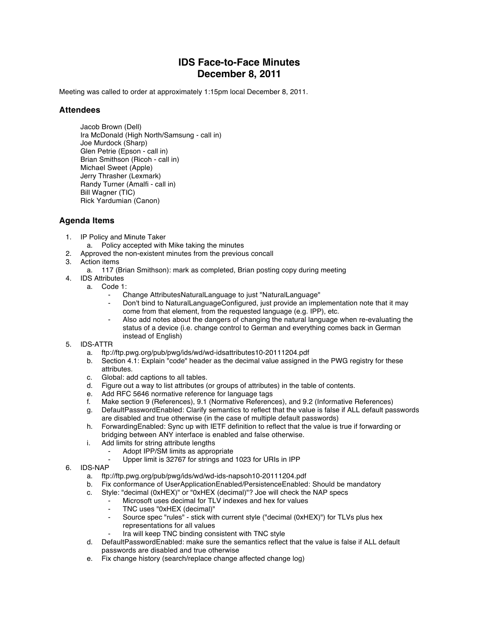# **IDS Face-to-Face Minutes December 8, 2011**

Meeting was called to order at approximately 1:15pm local December 8, 2011.

## **Attendees**

Jacob Brown (Dell) Ira McDonald (High North/Samsung - call in) Joe Murdock (Sharp) Glen Petrie (Epson - call in) Brian Smithson (Ricoh - call in) Michael Sweet (Apple) Jerry Thrasher (Lexmark) Randy Turner (Amalfi - call in) Bill Wagner (TIC) Rick Yardumian (Canon)

### **Agenda Items**

- 1. IP Policy and Minute Taker
	- a. Policy accepted with Mike taking the minutes
- 2. Approved the non-existent minutes from the previous concall
- 3. Action items
	- a. 117 (Brian Smithson): mark as completed, Brian posting copy during meeting
- 4. IDS Attributes
	- a. Code 1:
		- Change AttributesNaturalLanguage to just "NaturalLanguage"
		- Don't bind to NaturalLanguageConfigured, just provide an implementation note that it may come from that element, from the requested language (e.g. IPP), etc.
		- ⁃ Also add notes about the dangers of changing the natural language when re-evaluating the status of a device (i.e. change control to German and everything comes back in German instead of English)

#### 5. IDS-ATTR

- a. ftp://ftp.pwg.org/pub/pwg/ids/wd/wd-idsattributes10-20111204.pdf
- b. Section 4.1: Explain "code" header as the decimal value assigned in the PWG registry for these attributes.
- c. Global: add captions to all tables.
- d. Figure out a way to list attributes (or groups of attributes) in the table of contents.
- e. Add RFC 5646 normative reference for language tags
- f. Make section 9 (References), 9.1 (Normative References), and 9.2 (Informative References)
- g. DefaultPasswordEnabled: Clarify semantics to reflect that the value is false if ALL default passwords are disabled and true otherwise (in the case of multiple default passwords)
- h. ForwardingEnabled: Sync up with IETF definition to reflect that the value is true if forwarding or bridging between ANY interface is enabled and false otherwise.
- i. Add limits for string attribute lengths
	- Adopt IPP/SM limits as appropriate
	- Upper limit is 32767 for strings and 1023 for URIs in IPP
- 6. IDS-NAP
	- a. ftp://ftp.pwg.org/pub/pwg/ids/wd/wd-ids-napsoh10-20111204.pdf
	- b. Fix conformance of UserApplicationEnabled/PersistenceEnabled: Should be mandatory
	- c. Style: "decimal (0xHEX)" or "0xHEX (decimal)"? Joe will check the NAP specs
		- Microsoft uses decimal for TLV indexes and hex for values
			- TNC uses "0xHEX (decimal)"
			- ⁃ Source spec "rules" stick with current style ("decimal (0xHEX)") for TLVs plus hex representations for all values
			- Ira will keep TNC binding consistent with TNC style
	- d. DefaultPasswordEnabled: make sure the semantics reflect that the value is false if ALL default passwords are disabled and true otherwise
	- e. Fix change history (search/replace change affected change log)